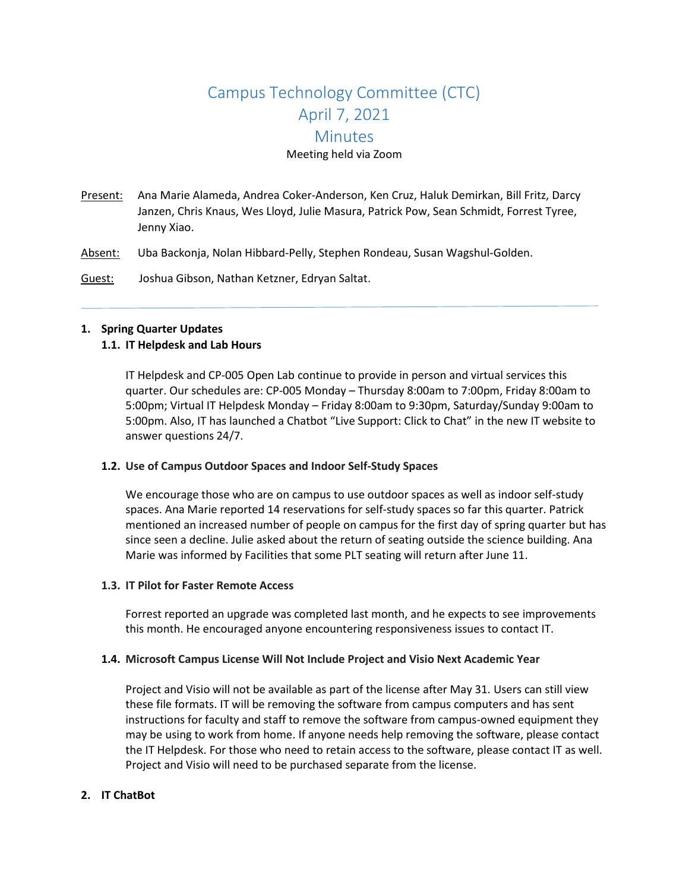# Campus Technology Committee (CTC) April 7, 2021 **Minutes** Meeting held via Zoom

- Present: Ana Marie Alameda, Andrea Coker-Anderson, Ken Cruz, Haluk Demirkan, Bill Fritz, Darcy Janzen, Chris Knaus, Wes Lloyd, Julie Masura, Patrick Pow, Sean Schmidt, Forrest Tyree, Jenny Xiao.
- Absent: Uba Backonja, Nolan Hibbard-Pelly, Stephen Rondeau, Susan Wagshul-Golden.
- Guest: Joshua Gibson, Nathan Ketzner, Edryan Saltat.

## **1. Spring Quarter Updates**

## **1.1. IT Helpdesk and Lab Hours**

IT Helpdesk and CP-005 Open Lab continue to provide in person and virtual services this quarter. Our schedules are: CP-005 Monday – Thursday 8:00am to 7:00pm, Friday 8:00am to 5:00pm; Virtual IT Helpdesk Monday – Friday 8:00am to 9:30pm, Saturday/Sunday 9:00am to 5:00pm. Also, IT has launched a Chatbot "Live Support: Click to Chat" in the new IT website to answer questions 24/7.

#### **1.2. Use of Campus Outdoor Spaces and Indoor Self-Study Spaces**

We encourage those who are on campus to use outdoor spaces as well as indoor self-study spaces. Ana Marie reported 14 reservations for self-study spaces so far this quarter. Patrick mentioned an increased number of people on campus for the first day of spring quarter but has since seen a decline. Julie asked about the return of seating outside the science building. Ana Marie was informed by Facilities that some PLT seating will return after June 11.

#### **1.3. IT Pilot for Faster Remote Access**

Forrest reported an upgrade was completed last month, and he expects to see improvements this month. He encouraged anyone encountering responsiveness issues to contact IT.

#### **1.4. Microsoft Campus License Will Not Include Project and Visio Next Academic Year**

Project and Visio will not be available as part of the license after May 31. Users can still view these file formats. IT will be removing the software from campus computers and has sent instructions for faculty and staff to remove the software from campus-owned equipment they may be using to work from home. If anyone needs help removing the software, please contact the IT Helpdesk. For those who need to retain access to the software, please contact IT as well. Project and Visio will need to be purchased separate from the license.

## **2. IT ChatBot**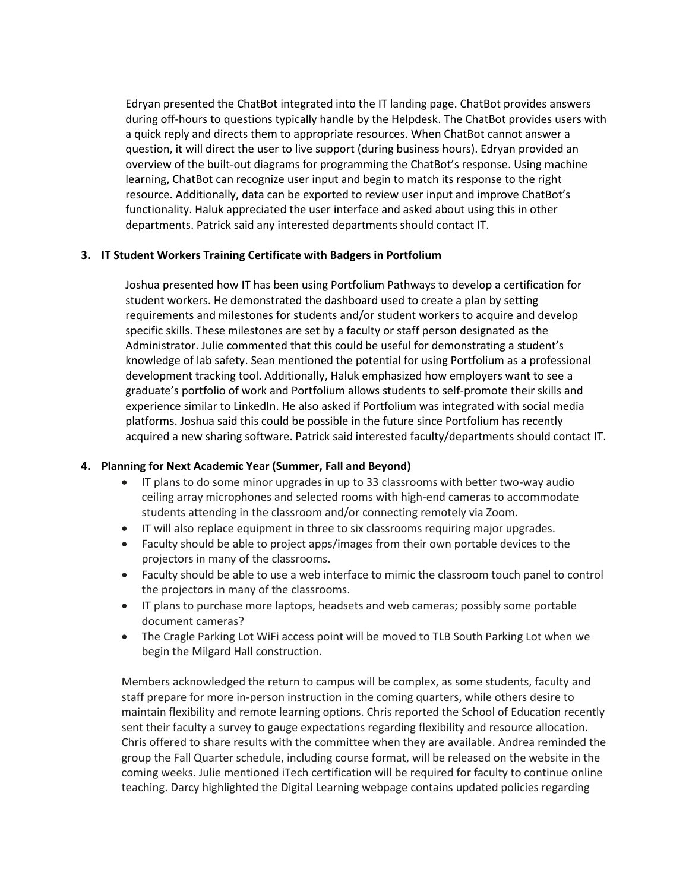Edryan presented the ChatBot integrated into the IT landing page. ChatBot provides answers during off-hours to questions typically handle by the Helpdesk. The ChatBot provides users with a quick reply and directs them to appropriate resources. When ChatBot cannot answer a question, it will direct the user to live support (during business hours). Edryan provided an overview of the built-out diagrams for programming the ChatBot's response. Using machine learning, ChatBot can recognize user input and begin to match its response to the right resource. Additionally, data can be exported to review user input and improve ChatBot's functionality. Haluk appreciated the user interface and asked about using this in other departments. Patrick said any interested departments should contact IT.

## **3. IT Student Workers Training Certificate with Badgers in Portfolium**

Joshua presented how IT has been using Portfolium Pathways to develop a certification for student workers. He demonstrated the dashboard used to create a plan by setting requirements and milestones for students and/or student workers to acquire and develop specific skills. These milestones are set by a faculty or staff person designated as the Administrator. Julie commented that this could be useful for demonstrating a student's knowledge of lab safety. Sean mentioned the potential for using Portfolium as a professional development tracking tool. Additionally, Haluk emphasized how employers want to see a graduate's portfolio of work and Portfolium allows students to self-promote their skills and experience similar to LinkedIn. He also asked if Portfolium was integrated with social media platforms. Joshua said this could be possible in the future since Portfolium has recently acquired a new sharing software. Patrick said interested faculty/departments should contact IT.

#### **4. Planning for Next Academic Year (Summer, Fall and Beyond)**

- IT plans to do some minor upgrades in up to 33 classrooms with better two-way audio ceiling array microphones and selected rooms with high-end cameras to accommodate students attending in the classroom and/or connecting remotely via Zoom.
- IT will also replace equipment in three to six classrooms requiring major upgrades.
- Faculty should be able to project apps/images from their own portable devices to the projectors in many of the classrooms.
- Faculty should be able to use a web interface to mimic the classroom touch panel to control the projectors in many of the classrooms.
- IT plans to purchase more laptops, headsets and web cameras; possibly some portable document cameras?
- The Cragle Parking Lot WiFi access point will be moved to TLB South Parking Lot when we begin the Milgard Hall construction.

Members acknowledged the return to campus will be complex, as some students, faculty and staff prepare for more in-person instruction in the coming quarters, while others desire to maintain flexibility and remote learning options. Chris reported the School of Education recently sent their faculty a survey to gauge expectations regarding flexibility and resource allocation. Chris offered to share results with the committee when they are available. Andrea reminded the group the Fall Quarter schedule, including course format, will be released on the website in the coming weeks. Julie mentioned iTech certification will be required for faculty to continue online teaching. Darcy highlighted the Digital Learning webpage contains updated policies regarding